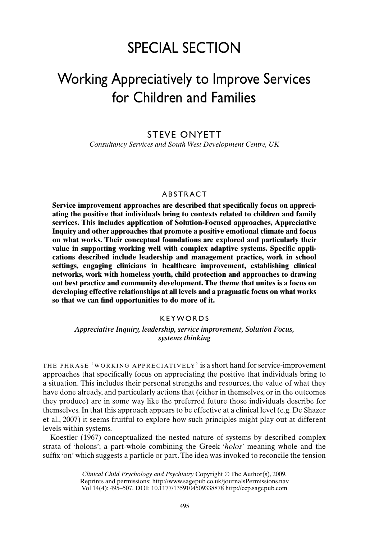# SPECIAL SECTION

# Working Appreciatively to Improve Services for Children and Families

# STEVE ONYETT

*Consultancy Services and South West Development Centre, UK*

# ABSTRACT

**Service improvement approaches are described that specifically focus on appreciating the positive that individuals bring to contexts related to children and family services. This includes application of Solution-Focused approaches, Appreciative Inquiry and other approaches that promote a positive emotional climate and focus on what works. Their conceptual foundations are explored and particularly their value in supporting working well with complex adaptive systems. Specific applications described include leadership and management practice, work in school settings, engaging clinicians in healthcare improvement, establishing clinical networks, work with homeless youth, child protection and approaches to drawing out best practice and community development. The theme that unites is a focus on developing effective relationships at all levels and a pragmatic focus on what works so that we can find opportunities to do more of it.**

# KEYWORDS

*Appreciative Inquiry, leadership, service improvement, Solution Focus, systems thinking*

THE PHRASE 'WORKING APPRECIATIVELY' is a short hand for service-improvement approaches that specifically focus on appreciating the positive that individuals bring to a situation. This includes their personal strengths and resources, the value of what they have done already, and particularly actions that (either in themselves, or in the outcomes they produce) are in some way like the preferred future those individuals describe for themselves. In that this approach appears to be effective at a clinical level (e.g. De Shazer et al., 2007) it seems fruitful to explore how such principles might play out at different levels within systems.

Koestler (1967) conceptualized the nested nature of systems by described complex strata of 'holons'; a part-whole combining the Greek '*holos*' meaning whole and the suffix 'on' which suggests a particle or part. The idea was invoked to reconcile the tension

> *Clinical Child Psychology and Psychiatry* Copyright © The Author(s), 2009. Reprints and permissions: http://www.sagepub.co.uk/journalsPermissions.nav Vol 14(4): 495–507. DOI: 10.1177/1359104509338878 http://ccp.sagepub.com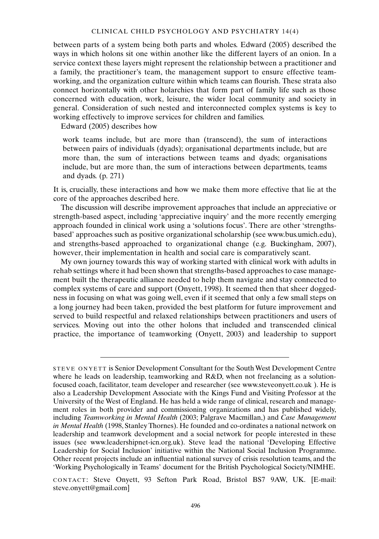between parts of a system being both parts and wholes. Edward (2005) described the ways in which holons sit one within another like the different layers of an onion. In a service context these layers might represent the relationship between a practitioner and a family, the practitioner's team, the management support to ensure effective teamworking, and the organization culture within which teams can flourish. These strata also connect horizontally with other holarchies that form part of family life such as those concerned with education, work, leisure, the wider local community and society in general. Consideration of such nested and interconnected complex systems is key to working effectively to improve services for children and families.

Edward (2005) describes how

work teams include, but are more than (transcend), the sum of interactions between pairs of individuals (dyads); organisational departments include, but are more than, the sum of interactions between teams and dyads; organisations include, but are more than, the sum of interactions between departments, teams and dyads. (p. 271)

It is, crucially, these interactions and how we make them more effective that lie at the core of the approaches described here.

The discussion will describe improvement approaches that include an appreciative or strength-based aspect, including 'appreciative inquiry' and the more recently emerging approach founded in clinical work using a 'solutions focus'. There are other 'strengthsbased' approaches such as positive organizational scholarship (see www.bus.umich.edu), and strengths-based approached to organizational change (e.g. Buckingham, 2007), however, their implementation in health and social care is comparatively scant.

My own journey towards this way of working started with clinical work with adults in rehab settings where it had been shown that strengths-based approaches to case management built the therapeutic alliance needed to help them navigate and stay connected to complex systems of care and support (Onyett, 1998). It seemed then that sheer doggedness in focusing on what was going well, even if it seemed that only a few small steps on a long journey had been taken, provided the best platform for future improvement and served to build respectful and relaxed relationships between practitioners and users of services. Moving out into the other holons that included and transcended clinical practice, the importance of teamworking (Onyett, 2003) and leadership to support

STEVE ONYETT is Senior Development Consultant for the South West Development Centre where he leads on leadership, teamworking and R&D, when not freelancing as a solutionfocused coach, facilitator, team developer and researcher (see www.steveonyett.co.uk ). He is also a Leadership Development Associate with the Kings Fund and Visiting Professor at the University of the West of England. He has held a wide range of clinical, research and management roles in both provider and commissioning organizations and has published widely, including *Teamworking in Mental Health* (2003; Palgrave Macmillan,) and *Case Management in Mental Health* (1998, Stanley Thornes). He founded and co-ordinates a national network on leadership and teamwork development and a social network for people interested in these issues (see www.leadershipnet-icn.org.uk). Steve lead the national 'Developing Effective Leadership for Social Inclusion' initiative within the National Social Inclusion Programme. Other recent projects include an influential national survey of crisis resolution teams, and the 'Working Psychologically in Teams' document for the British Psychological Society/NIMHE.

CONTACT: Steve Onyett, 93 Sefton Park Road, Bristol BS7 9AW, UK. [E-mail: steve.onyett@gmail.com]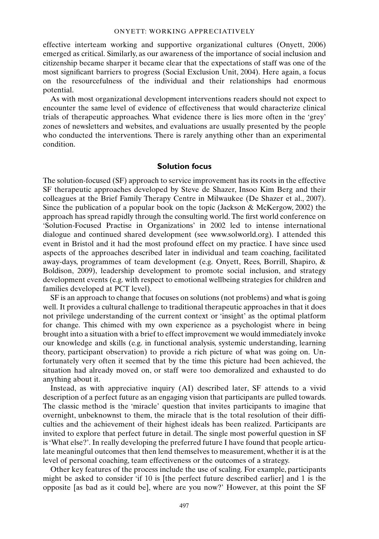effective interteam working and supportive organizational cultures (Onyett, 2006) emerged as critical. Similarly, as our awareness of the importance of social inclusion and citizenship became sharper it became clear that the expectations of staff was one of the most significant barriers to progress (Social Exclusion Unit, 2004). Here again, a focus on the resourcefulness of the individual and their relationships had enormous potential.

As with most organizational development interventions readers should not expect to encounter the same level of evidence of effectiveness that would characterize clinical trials of therapeutic approaches. What evidence there is lies more often in the 'grey' zones of newsletters and websites, and evaluations are usually presented by the people who conducted the interventions. There is rarely anything other than an experimental condition.

# **Solution focus**

The solution-focused (SF) approach to service improvement has its roots in the effective SF therapeutic approaches developed by Steve de Shazer, Insoo Kim Berg and their colleagues at the Brief Family Therapy Centre in Milwaukee (De Shazer et al., 2007). Since the publication of a popular book on the topic (Jackson & McKergow, 2002) the approach has spread rapidly through the consulting world. The first world conference on 'Solution-Focused Practise in Organizations' in 2002 led to intense international dialogue and continued shared development (see www.solworld.org). I attended this event in Bristol and it had the most profound effect on my practice. I have since used aspects of the approaches described later in individual and team coaching, facilitated away-days, programmes of team development (e.g. Onyett, Rees, Borrill, Shapiro, & Boldison, 2009), leadership development to promote social inclusion, and strategy development events (e.g. with respect to emotional wellbeing strategies for children and families developed at PCT level).

SF is an approach to change that focuses on solutions (not problems) and what is going well. It provides a cultural challenge to traditional therapeutic approaches in that it does not privilege understanding of the current context or 'insight' as the optimal platform for change. This chimed with my own experience as a psychologist where in being brought into a situation with a brief to effect improvement we would immediately invoke our knowledge and skills (e.g. in functional analysis, systemic understanding, learning theory, participant observation) to provide a rich picture of what was going on. Unfortunately very often it seemed that by the time this picture had been achieved, the situation had already moved on, or staff were too demoralized and exhausted to do anything about it.

Instead, as with appreciative inquiry (AI) described later, SF attends to a vivid description of a perfect future as an engaging vision that participants are pulled towards. The classic method is the 'miracle' question that invites participants to imagine that overnight, unbeknownst to them, the miracle that is the total resolution of their difficulties and the achievement of their highest ideals has been realized. Participants are invited to explore that perfect future in detail. The single most powerful question in SF is 'What else?'. In really developing the preferred future I have found that people articulate meaningful outcomes that then lend themselves to measurement, whether it is at the level of personal coaching, team effectiveness or the outcomes of a strategy.

Other key features of the process include the use of scaling. For example, participants might be asked to consider 'if 10 is [the perfect future described earlier] and 1 is the opposite [as bad as it could be], where are you now?' However, at this point the SF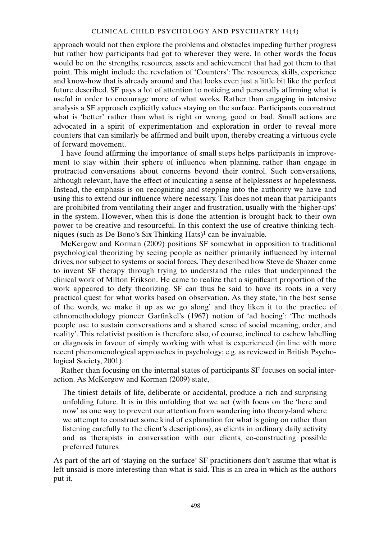approach would not then explore the problems and obstacles impeding further progress but rather how participants had got to wherever they were. In other words the focus would be on the strengths, resources, assets and achievement that had got them to that point. This might include the revelation of 'Counters': The resources, skills, experience and know-how that is already around and that looks even just a little bit like the perfect future described. SF pays a lot of attention to noticing and personally affirming what is useful in order to encourage more of what works. Rather than engaging in intensive analysis a SF approach explicitly values staying on the surface. Participants coconstruct what is 'better' rather than what is right or wrong, good or bad. Small actions are advocated in a spirit of experimentation and exploration in order to reveal more counters that can similarly be affirmed and built upon, thereby creating a virtuous cycle of forward movement.

I have found affirming the importance of small steps helps participants in improvement to stay within their sphere of influence when planning, rather than engage in protracted conversations about concerns beyond their control. Such conversations, although relevant, have the effect of inculcating a sense of helplessness or hopelessness. Instead, the emphasis is on recognizing and stepping into the authority we have and using this to extend our influence where necessary. This does not mean that participants are prohibited from ventilating their anger and frustration, usually with the 'higher-ups' in the system. However, when this is done the attention is brought back to their own power to be creative and resourceful. In this context the use of creative thinking techniques (such as De Bono's Six Thinking Hats)<sup>1</sup> can be invaluable.

McKergow and Korman (2009) positions SF somewhat in opposition to traditional psychological theorizing by seeing people as neither primarily influenced by internal drives, nor subject to systems or social forces. They described how Steve de Shazer came to invent SF therapy through trying to understand the rules that underpinned the clinical work of Milton Erikson. He came to realize that a significant proportion of the work appeared to defy theorizing. SF can thus be said to have its roots in a very practical quest for what works based on observation. As they state, 'in the best sense of the words, we make it up as we go along' and they liken it to the practice of ethnomethodology pioneer Garfinkel's (1967) notion of 'ad hocing': 'The methods people use to sustain conversations and a shared sense of social meaning, order, and reality'. This relativist position is therefore also, of course, inclined to eschew labelling or diagnosis in favour of simply working with what is experienced (in line with more recent phenomenological approaches in psychology; e.g. as reviewed in British Psychological Society, 2001).

Rather than focusing on the internal states of participants SF focuses on social interaction. As McKergow and Korman (2009) state,

The tiniest details of life, deliberate or accidental, produce a rich and surprising unfolding future. It is in this unfolding that we act (with focus on the 'here and now' as one way to prevent our attention from wandering into theory-land where we attempt to construct some kind of explanation for what is going on rather than listening carefully to the client's descriptions), as clients in ordinary daily activity and as therapists in conversation with our clients, co-constructing possible preferred futures.

As part of the art of 'staying on the surface' SF practitioners don't assume that what is left unsaid is more interesting than what is said. This is an area in which as the authors put it,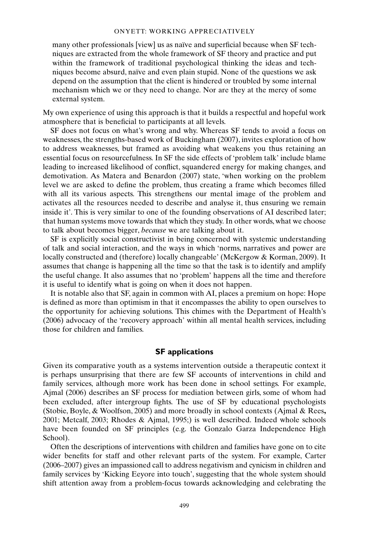many other professionals [view] us as naïve and superficial because when SF techniques are extracted from the whole framework of SF theory and practice and put within the framework of traditional psychological thinking the ideas and techniques become absurd, naïve and even plain stupid. None of the questions we ask depend on the assumption that the client is hindered or troubled by some internal mechanism which we or they need to change. Nor are they at the mercy of some external system.

My own experience of using this approach is that it builds a respectful and hopeful work atmosphere that is beneficial to participants at all levels.

SF does not focus on what's wrong and why. Whereas SF tends to avoid a focus on weaknesses, the strengths-based work of Buckingham (2007), invites exploration of how to address weaknesses, but framed as avoiding what weakens you thus retaining an essential focus on resourcefulness. In SF the side effects of 'problem talk' include blame leading to increased likelihood of conflict, squandered energy for making changes, and demotivation. As Matera and Benardon (2007) state, 'when working on the problem level we are asked to define the problem, thus creating a frame which becomes filled with all its various aspects. This strengthens our mental image of the problem and activates all the resources needed to describe and analyse it, thus ensuring we remain inside it'. This is very similar to one of the founding observations of AI described later; that human systems move towards that which they study. In other words, what we choose to talk about becomes bigger, *because* we are talking about it.

SF is explicitly social constructivist in being concerned with systemic understanding of talk and social interaction, and the ways in which 'norms, narratives and power are locally constructed and (therefore) locally changeable' (McKergow & Korman, 2009). It assumes that change is happening all the time so that the task is to identify and amplify the useful change. It also assumes that no 'problem' happens all the time and therefore it is useful to identify what is going on when it does not happen.

It is notable also that SF, again in common with AI, places a premium on hope: Hope is defined as more than optimism in that it encompasses the ability to open ourselves to the opportunity for achieving solutions. This chimes with the Department of Health's (2006) advocacy of the 'recovery approach' within all mental health services, including those for children and families.

## **SF applications**

Given its comparative youth as a systems intervention outside a therapeutic context it is perhaps unsurprising that there are few SF accounts of interventions in child and family services, although more work has been done in school settings. For example, Ajmal (2006) describes an SF process for mediation between girls, some of whom had been excluded, after intergroup fights. The use of SF by educational psychologists (Stobie, Boyle, & Woolfson, 2005) and more broadly in school contexts (Ajmal & Rees**,** 2001; Metcalf, 2003; Rhodes & Ajmal, 1995;) is well described. Indeed whole schools have been founded on SF principles (e.g. the Gonzalo Garza Independence High School).

Often the descriptions of interventions with children and families have gone on to cite wider benefits for staff and other relevant parts of the system. For example, Carter (2006–2007) gives an impassioned call to address negativism and cynicism in children and family services by 'Kicking Eeyore into touch', suggesting that the whole system should shift attention away from a problem-focus towards acknowledging and celebrating the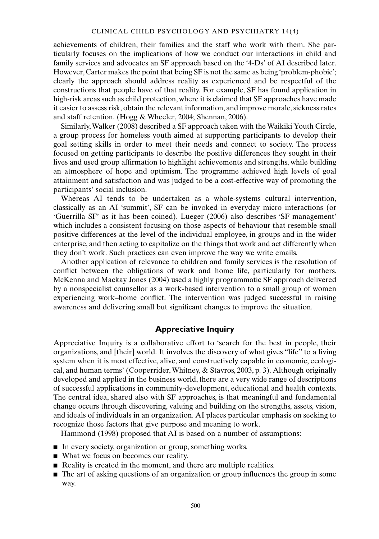achievements of children, their families and the staff who work with them. She particularly focuses on the implications of how we conduct our interactions in child and family services and advocates an SF approach based on the '4-Ds' of AI described later. However, Carter makes the point that being SF is not the same as being 'problem-phobic'; clearly the approach should address reality as experienced and be respectful of the constructions that people have of that reality. For example, SF has found application in high-risk areas such as child protection, where it is claimed that SF approaches have made it easier to assess risk, obtain the relevant information, and improve morale, sickness rates and staff retention. (Hogg & Wheeler, 2004; Shennan, 2006).

Similarly,Walker (2008) described a SF approach taken with the Waikiki Youth Circle, a group process for homeless youth aimed at supporting participants to develop their goal setting skills in order to meet their needs and connect to society. The process focused on getting participants to describe the positive differences they sought in their lives and used group affirmation to highlight achievements and strengths, while building an atmosphere of hope and optimism. The programme achieved high levels of goal attainment and satisfaction and was judged to be a cost-effective way of promoting the participants' social inclusion.

Whereas AI tends to be undertaken as a whole-systems cultural intervention, classically as an AI 'summit', SF can be invoked in everyday micro interactions (or 'Guerrilla SF' as it has been coined). Lueger (2006) also describes 'SF management' which includes a consistent focusing on those aspects of behaviour that resemble small positive differences at the level of the individual employee, in groups and in the wider enterprise, and then acting to capitalize on the things that work and act differently when they don't work. Such practices can even improve the way we write emails.

Another application of relevance to children and family services is the resolution of conflict between the obligations of work and home life, particularly for mothers. McKenna and Mackay Jones (2004) used a highly programmatic SF approach delivered by a nonspecialist counsellor as a work-based intervention to a small group of women experiencing work–home conflict. The intervention was judged successful in raising awareness and delivering small but significant changes to improve the situation.

# **Appreciative Inquiry**

Appreciative Inquiry is a collaborative effort to 'search for the best in people, their organizations, and [their] world. It involves the discovery of what gives "life" to a living system when it is most effective, alive, and constructively capable in economic, ecological, and human terms' (Cooperrider, Whitney, & Stavros, 2003, p. 3). Although originally developed and applied in the business world, there are a very wide range of descriptions of successful applications in community-development, educational and health contexts. The central idea, shared also with SF approaches, is that meaningful and fundamental change occurs through discovering, valuing and building on the strengths, assets, vision, and ideals of individuals in an organization. AI places particular emphasis on seeking to recognize those factors that give purpose and meaning to work.

Hammond (1998) proposed that AI is based on a number of assumptions:

- In every society, organization or group, something works.
- What we focus on becomes our reality.
- Reality is created in the moment, and there are multiple realities.
- The art of asking questions of an organization or group influences the group in some way.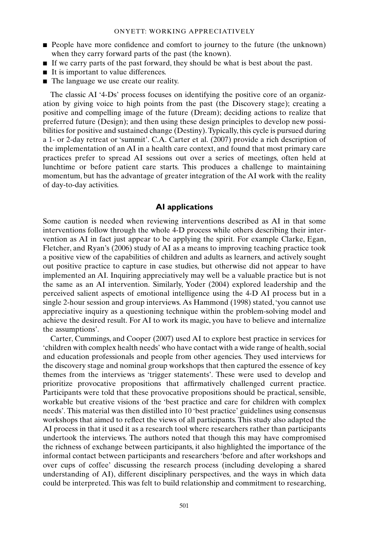- People have more confidence and comfort to journey to the future (the unknown) when they carry forward parts of the past (the known).
- If we carry parts of the past forward, they should be what is best about the past.
- It is important to value differences.
- The language we use create our reality.

The classic AI '4-Ds' process focuses on identifying the positive core of an organization by giving voice to high points from the past (the Discovery stage); creating a positive and compelling image of the future (Dream); deciding actions to realize that preferred future (Design); and then using these design principles to develop new possibilities for positive and sustained change (Destiny). Typically, this cycle is pursued during a 1- or 2-day retreat or 'summit'. C.A. Carter et al. (2007) provide a rich description of the implementation of an AI in a health care context, and found that most primary care practices prefer to spread AI sessions out over a series of meetings, often held at lunchtime or before patient care starts. This produces a challenge to maintaining momentum, but has the advantage of greater integration of the AI work with the reality of day-to-day activities.

## **AI applications**

Some caution is needed when reviewing interventions described as AI in that some interventions follow through the whole 4-D process while others describing their intervention as AI in fact just appear to be applying the spirit. For example Clarke, Egan, Fletcher, and Ryan's (2006) study of AI as a means to improving teaching practice took a positive view of the capabilities of children and adults as learners, and actively sought out positive practice to capture in case studies, but otherwise did not appear to have implemented an AI. Inquiring appreciatively may well be a valuable practice but is not the same as an AI intervention. Similarly, Yoder (2004) explored leadership and the perceived salient aspects of emotional intelligence using the 4-D AI process but in a single 2-hour session and group interviews. As Hammond (1998) stated, 'you cannot use appreciative inquiry as a questioning technique within the problem-solving model and achieve the desired result. For AI to work its magic, you have to believe and internalize the assumptions'.

Carter, Cummings, and Cooper (2007) used AI to explore best practice in services for 'children with complex health needs' who have contact with a wide range of health, social and education professionals and people from other agencies. They used interviews for the discovery stage and nominal group workshops that then captured the essence of key themes from the interviews as 'trigger statements'. These were used to develop and prioritize provocative propositions that affirmatively challenged current practice. Participants were told that these provocative propositions should be practical, sensible, workable but creative visions of the 'best practice and care for children with complex needs'. This material was then distilled into 10 'best practice' guidelines using consensus workshops that aimed to reflect the views of all participants. This study also adapted the AI process in that it used it as a research tool where researchers rather than participants undertook the interviews. The authors noted that though this may have compromised the richness of exchange between participants, it also highlighted the importance of the informal contact between participants and researchers 'before and after workshops and over cups of coffee' discussing the research process (including developing a shared understanding of AI), different disciplinary perspectives, and the ways in which data could be interpreted. This was felt to build relationship and commitment to researching,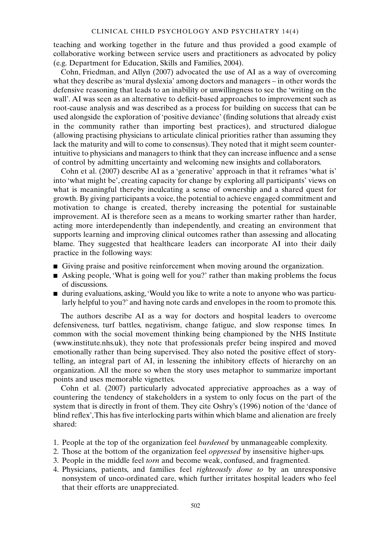teaching and working together in the future and thus provided a good example of collaborative working between service users and practitioners as advocated by policy (e.g. Department for Education, Skills and Families, 2004).

Cohn, Friedman, and Allyn (2007) advocated the use of AI as a way of overcoming what they describe as 'mural dyslexia' among doctors and managers – in other words the defensive reasoning that leads to an inability or unwillingness to see the 'writing on the wall'. AI was seen as an alternative to deficit-based approaches to improvement such as root-cause analysis and was described as a process for building on success that can be used alongside the exploration of 'positive deviance' (finding solutions that already exist in the community rather than importing best practices), and structured dialogue (allowing practising physicians to articulate clinical priorities rather than assuming they lack the maturity and will to come to consensus). They noted that it might seem counterintuitive to physicians and managers to think that they can increase influence and a sense of control by admitting uncertainty and welcoming new insights and collaborators.

Cohn et al. (2007) describe AI as a 'generative' approach in that it reframes 'what is' into 'what might be', creating capacity for change by exploring all participants' views on what is meaningful thereby inculcating a sense of ownership and a shared quest for growth. By giving participants a voice, the potential to achieve engaged commitment and motivation to change is created, thereby increasing the potential for sustainable improvement. AI is therefore seen as a means to working smarter rather than harder, acting more interdependently than independently, and creating an environment that supports learning and improving clinical outcomes rather than assessing and allocating blame. They suggested that healthcare leaders can incorporate AI into their daily practice in the following ways:

- Giving praise and positive reinforcement when moving around the organization.
- Asking people, 'What is going well for you?' rather than making problems the focus of discussions.
- during evaluations, asking, 'Would you like to write a note to anyone who was particularly helpful to you?' and having note cards and envelopes in the room to promote this.

The authors describe AI as a way for doctors and hospital leaders to overcome defensiveness, turf battles, negativism, change fatigue, and slow response times. In common with the social movement thinking being championed by the NHS Institute (www.institute.nhs.uk), they note that professionals prefer being inspired and moved emotionally rather than being supervised. They also noted the positive effect of storytelling, an integral part of AI, in lessening the inhibitory effects of hierarchy on an organization. All the more so when the story uses metaphor to summarize important points and uses memorable vignettes.

Cohn et al. (2007) particularly advocated appreciative approaches as a way of countering the tendency of stakeholders in a system to only focus on the part of the system that is directly in front of them. They cite Oshry's (1996) notion of the 'dance of blind reflex',This has five interlocking parts within which blame and alienation are freely shared:

- 1. People at the top of the organization feel *burdened* by unmanageable complexity.
- 2. Those at the bottom of the organization feel *oppressed* by insensitive higher-ups.
- 3. People in the middle feel *torn* and become weak, confused, and fragmented.
- 4. Physicians, patients, and families feel *righteously done to* by an unresponsive nonsystem of unco-ordinated care, which further irritates hospital leaders who feel that their efforts are unappreciated.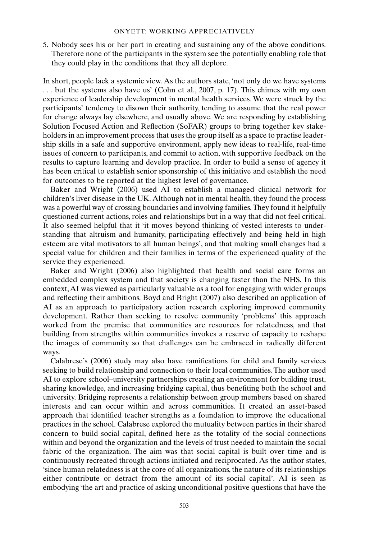5. Nobody sees his or her part in creating and sustaining any of the above conditions. Therefore none of the participants in the system see the potentially enabling role that they could play in the conditions that they all deplore.

In short, people lack a systemic view. As the authors state, 'not only do we have systems . . . but the systems also have us' (Cohn et al., 2007, p. 17). This chimes with my own experience of leadership development in mental health services. We were struck by the participants' tendency to disown their authority, tending to assume that the real power for change always lay elsewhere, and usually above. We are responding by establishing Solution Focused Action and Reflection (SoFAR) groups to bring together key stakeholders in an improvement process that uses the group itself as a space to practise leadership skills in a safe and supportive environment, apply new ideas to real-life, real-time issues of concern to participants, and commit to action, with supportive feedback on the results to capture learning and develop practice. In order to build a sense of agency it has been critical to establish senior sponsorship of this initiative and establish the need for outcomes to be reported at the highest level of governance.

Baker and Wright (2006) used AI to establish a managed clinical network for children's liver disease in the UK. Although not in mental health, they found the process was a powerful way of crossing boundaries and involving families. They found it helpfully questioned current actions, roles and relationships but in a way that did not feel critical. It also seemed helpful that it 'it moves beyond thinking of vested interests to understanding that altruism and humanity, participating effectively and being held in high esteem are vital motivators to all human beings', and that making small changes had a special value for children and their families in terms of the experienced quality of the service they experienced.

Baker and Wright (2006) also highlighted that health and social care forms an embedded complex system and that society is changing faster than the NHS. In this context,AI was viewed as particularly valuable as a tool for engaging with wider groups and reflecting their ambitions. Boyd and Bright (2007) also described an application of AI as an approach to participatory action research exploring improved community development. Rather than seeking to resolve community 'problems' this approach worked from the premise that communities are resources for relatedness, and that building from strengths within communities invokes a reserve of capacity to reshape the images of community so that challenges can be embraced in radically different ways.

Calabrese's (2006) study may also have ramifications for child and family services seeking to build relationship and connection to their local communities. The author used AI to explore school–university partnerships creating an environment for building trust, sharing knowledge, and increasing bridging capital, thus benefiting both the school and university. Bridging represents a relationship between group members based on shared interests and can occur within and across communities. It created an asset-based approach that identified teacher strengths as a foundation to improve the educational practices in the school. Calabrese explored the mutuality between parties in their shared concern to build social capital, defined here as the totality of the social connections within and beyond the organization and the levels of trust needed to maintain the social fabric of the organization. The aim was that social capital is built over time and is continuously recreated through actions initiated and reciprocated. As the author states, 'since human relatedness is at the core of all organizations, the nature of its relationships either contribute or detract from the amount of its social capital'. AI is seen as embodying 'the art and practice of asking unconditional positive questions that have the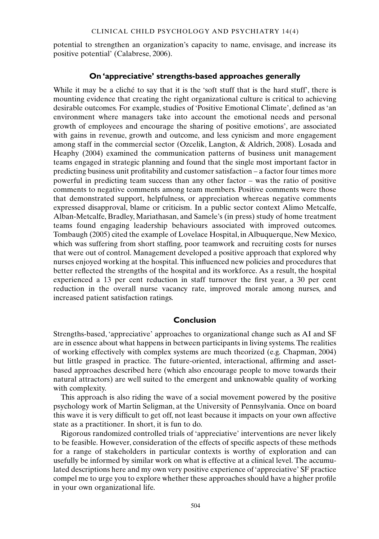potential to strengthen an organization's capacity to name, envisage, and increase its positive potential' (Calabrese, 2006).

# **On 'appreciative' strengths-based approaches generally**

While it may be a cliché to say that it is the 'soft stuff that is the hard stuff', there is mounting evidence that creating the right organizational culture is critical to achieving desirable outcomes. For example, studies of 'Positive Emotional Climate', defined as 'an environment where managers take into account the emotional needs and personal growth of employees and encourage the sharing of positive emotions', are associated with gains in revenue, growth and outcome, and less cynicism and more engagement among staff in the commercial sector (Ozcelik, Langton, & Aldrich, 2008). Losada and Heaphy (2004) examined the communication patterns of business unit management teams engaged in strategic planning and found that the single most important factor in predicting business unit profitability and customer satisfaction – a factor four times more powerful in predicting team success than any other factor – was the ratio of positive comments to negative comments among team members. Positive comments were those that demonstrated support, helpfulness, or appreciation whereas negative comments expressed disapproval, blame or criticism. In a public sector context Alimo Metcalfe, Alban-Metcalfe, Bradley, Mariathasan, and Samele's (in press) study of home treatment teams found engaging leadership behaviours associated with improved outcomes. Tombaugh (2005) cited the example of Lovelace Hospital, in Albuquerque, New Mexico, which was suffering from short staffing, poor teamwork and recruiting costs for nurses that were out of control. Management developed a positive approach that explored why nurses enjoyed working at the hospital. This influenced new policies and procedures that better reflected the strengths of the hospital and its workforce. As a result, the hospital experienced a 13 per cent reduction in staff turnover the first year, a 30 per cent reduction in the overall nurse vacancy rate, improved morale among nurses, and increased patient satisfaction ratings.

# **Conclusion**

Strengths-based, 'appreciative' approaches to organizational change such as AI and SF are in essence about what happens in between participants in living systems. The realities of working effectively with complex systems are much theorized (e.g. Chapman, 2004) but little grasped in practice. The future-oriented, interactional, affirming and assetbased approaches described here (which also encourage people to move towards their natural attractors) are well suited to the emergent and unknowable quality of working with complexity.

This approach is also riding the wave of a social movement powered by the positive psychology work of Martin Seligman, at the University of Pennsylvania. Once on board this wave it is very difficult to get off, not least because it impacts on your own affective state as a practitioner. In short, it is fun to do.

Rigorous randomized controlled trials of 'appreciative' interventions are never likely to be feasible. However, consideration of the effects of specific aspects of these methods for a range of stakeholders in particular contexts is worthy of exploration and can usefully be informed by similar work on what is effective at a clinical level. The accumulated descriptions here and my own very positive experience of 'appreciative' SF practice compel me to urge you to explore whether these approaches should have a higher profile in your own organizational life.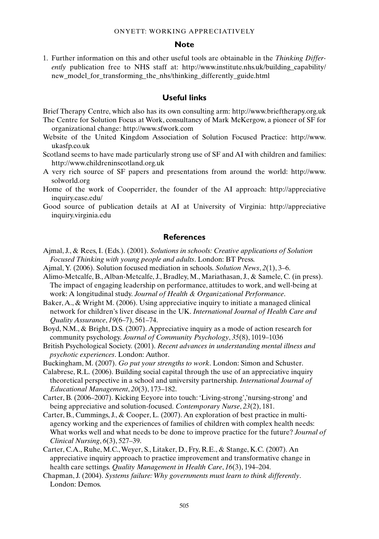## **Note**

1. Further information on this and other useful tools are obtainable in the *Thinking Differently* publication free to NHS staff at: http://www.institute.nhs.uk/building\_capability/ new\_model\_for\_transforming\_the\_nhs/thinking\_differently\_guide.html

# **Useful links**

Brief Therapy Centre, which also has its own consulting arm: http://www.brieftherapy.org.uk The Centre for Solution Focus at Work, consultancy of Mark McKergow, a pioneer of SF for

organizational change: http://www.sfwork.com

- Website of the United Kingdom Association of Solution Focused Practice: http://www. ukasfp.co.uk
- Scotland seems to have made particularly strong use of SF and AI with children and families: http://www.childreninscotland.org.uk
- A very rich source of SF papers and presentations from around the world: http://www. solworld.org
- Home of the work of Cooperrider, the founder of the AI approach: http://appreciative inquiry.case.edu/
- Good source of publication details at AI at University of Virginia: http://appreciative inquiry.virginia.edu

# **References**

- Ajmal, J., & Rees, I. (Eds.). (2001). *Solutions in schools: Creative applications of Solution Focused Thinking with young people and adults*. London: BT Press.
- Ajmal, Y. (2006). Solution focused mediation in schools. *Solution News*, *2*(1), 3–6.
- Alimo-Metcalfe, B., Alban-Metcalfe, J., Bradley, M., Mariathasan, J., & Samele, C. (in press). The impact of engaging leadership on performance, attitudes to work, and well-being at work: A longitudinal study. *Journal of Health & Organizational Performance*.

Baker, A., & Wright M. (2006). Using appreciative inquiry to initiate a managed clinical network for children's liver disease in the UK. *International Journal of Health Care and Quality Assurance*, *19*(6–7), 561–74.

- Boyd, N.M., & Bright, D.S. (2007). Appreciative inquiry as a mode of action research for community psychology. *Journal of Community Psychology*, *35*(8), 1019–1036
- British Psychological Society. (2001). *Recent advances in understanding mental illness and psychotic experiences*. London: Author.
- Buckingham, M. (2007). *Go put your strengths to work*. London: Simon and Schuster.
- Calabrese, R.L. (2006). Building social capital through the use of an appreciative inquiry theoretical perspective in a school and university partnership. *International Journal of Educational Management*, *20*(3), 173–182.

Carter, B. (2006–2007). Kicking Eeyore into touch: 'Living-strong','nursing-strong' and being appreciative and solution-focused. *Contemporary Nurse*, *23*(2), 181.

Carter, B., Cummings, J., & Cooper, L. (2007). An exploration of best practice in multiagency working and the experiences of families of children with complex health needs: What works well and what needs to be done to improve practice for the future? *Journal of Clinical Nursing*, *6*(3), 527–39.

Carter, C.A., Ruhe, M.C., Weyer, S., Litaker, D., Fry, R.E., & Stange, K.C. (2007). An appreciative inquiry approach to practice improvement and transformative change in health care settings. *Quality Management in Health Care*, *16*(3), 194–204.

Chapman, J. (2004). *Systems failure: Why governments must learn to think differently*. London: Demos.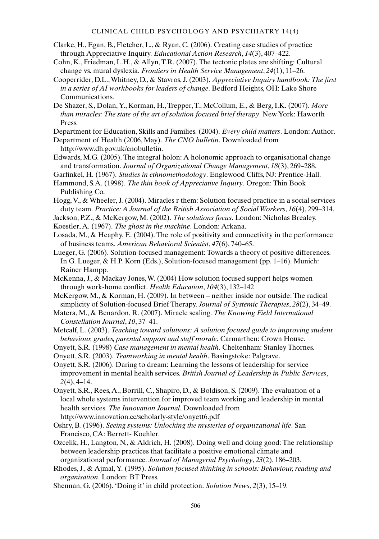- Clarke, H., Egan, B., Fletcher, L., & Ryan, C. (2006). Creating case studies of practice through Appreciative Inquiry. *Educational Action Research*, *14*(3), 407–422.
- Cohn, K., Friedman, L.H., & Allyn, T.R. (2007). The tectonic plates are shifting: Cultural change vs. mural dyslexia. *Frontiers in Health Service Management*, *24*(1), 11–26.
- Cooperrider, D.L., Whitney, D., & Stavros, J. (2003). *Appreciative Inquiry handbook: The first in a series of AI workbooks for leaders of change*. Bedford Heights, OH: Lake Shore Communications.
- De Shazer, S., Dolan, Y., Korman, H., Trepper, T., McCollum, E., & Berg, I.K. (2007). *More than miracles: The state of the art of solution focused brief therapy*. New York: Haworth Press.

Department for Education, Skills and Families. (2004). *Every child matters*. London: Author.

- Department of Health (2006, May). *The CNO bulletin*. Downloaded from http://www.dh.gov.uk/cnobulletin.
- Edwards, M.G. (2005). The integral holon: A holonomic approach to organisational change and transformation. *Journal of Organizational Change Management*, *18*(3), 269–288.
- Garfinkel, H. (1967). *Studies in ethnomethodology*. Englewood Cliffs, NJ: Prentice-Hall.
- Hammond, S.A. (1998). *The thin book of Appreciative Inquiry*. Oregon: Thin Book Publishing Co.
- Hogg, V., & Wheeler, J. (2004). Miracles r them: Solution focused practice in a social services duty team. *Practice: A Journal of the British Association of Social Workers*, *16*(4), 299–314.
- Jackson, P.Z., & McKergow, M. (2002). *The solutions focus*. London: Nicholas Brealey.
- Koestler, A. (1967). *The ghost in the machine*. London: Arkana.
- Losada, M., & Heaphy, E. (2004). The role of positivity and connectivity in the performance of business teams. *American Behavioral Scientist*, *47*(6), 740–65.
- Lueger, G. (2006). Solution-focused management: Towards a theory of positive differences. In G. Lueger, & H.P. Korn (Eds.), Solution-focused management (pp. 1–16). Munich: Rainer Hampp.
- McKenna, J., & Mackay Jones, W. (2004) How solution focused support helps women through work-home conflict. *Health Education*, *104*(3), 132–142

McKergow, M., & Korman, H. (2009). In between – neither inside nor outside: The radical simplicity of Solution-focused Brief Therapy. *Journal of Systemic Therapies*, *28*(2), 34–49.

- Matera, M., & Benardon, R. (2007). Miracle scaling. *The Knowing Field International Constellation Journal*, *10*, 37–41.
- Metcalf, L. (2003). *Teaching toward solutions: A solution focused guide to improving student behaviour, grades, parental support and staff morale*. Carmarthen: Crown House.
- Onyett, S.R. (1998) *Case management in mental health*. Cheltenham: Stanley Thornes.
- Onyett, S.R. (2003). *Teamworking in mental health*. Basingstoke: Palgrave.
- Onyett, S.R. (2006). Daring to dream: Learning the lessons of leadership for service improvement in mental health services. *British Journal of Leadership in Public Services*, *2*(4), 4–14.
- Onyett, S.R., Rees, A., Borrill, C., Shapiro, D., & Boldison, S. (2009). The evaluation of a local whole systems intervention for improved team working and leadership in mental health services. *The Innovation Journal*. Downloaded from http://www.innovation.cc/scholarly-style/onyett6.pdf
- Oshry, B. (1996). *Seeing systems: Unlocking the mysteries of organizational life*. San Francisco, CA: Berrett- Koehler.
- Ozcelik, H., Langton, N., & Aldrich, H. (2008). Doing well and doing good: The relationship between leadership practices that facilitate a positive emotional climate and organizational performance. *Journal of Managerial Psychology*, *23*(2), 186–203.
- Rhodes, J., & Ajmal, Y. (1995). *Solution focused thinking in schools: Behaviour, reading and organisation*. London: BT Press.
- Shennan, G. (2006). 'Doing it' in child protection. *Solution News*, *2*(3), 15–19.